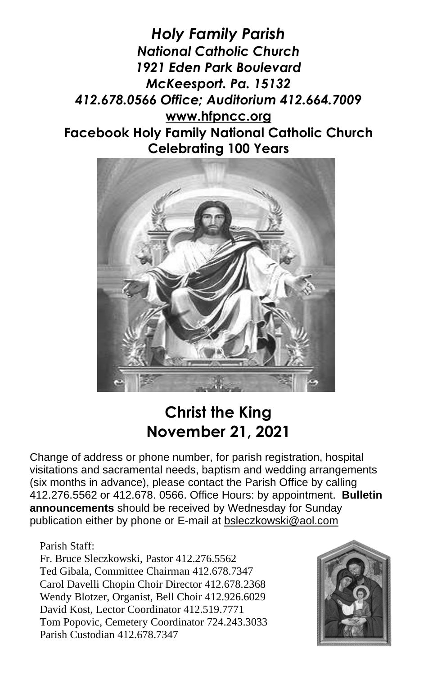*Holy Family Parish National Catholic Church 1921 Eden Park Boulevard McKeesport. Pa. 15132 412.678.0566 Office; Auditorium 412.664.7009* **[www.hfpncc.org](http://www.hfpncc.org/) Facebook Holy Family National Catholic Church Celebrating 100 Years**



# **Christ the King November 21, 2021**

Change of address or phone number, for parish registration, hospital visitations and sacramental needs, baptism and wedding arrangements (six months in advance), please contact the Parish Office by calling 412.276.5562 or 412.678. 0566. Office Hours: by appointment. **Bulletin announcements** should be received by Wednesday for Sunday publication either by phone or E-mail at [bsleczkowski@aol.com](mailto:bsleczkowski@aol.com)

Parish Staff:

Fr. Bruce Sleczkowski, Pastor 412.276.5562 Ted Gibala, Committee Chairman 412.678.7347 Carol Davelli Chopin Choir Director 412.678.2368 Wendy Blotzer, Organist, Bell Choir 412.926.6029 David Kost, Lector Coordinator 412.519.7771 Tom Popovic, Cemetery Coordinator 724.243.3033 Parish Custodian 412.678.7347

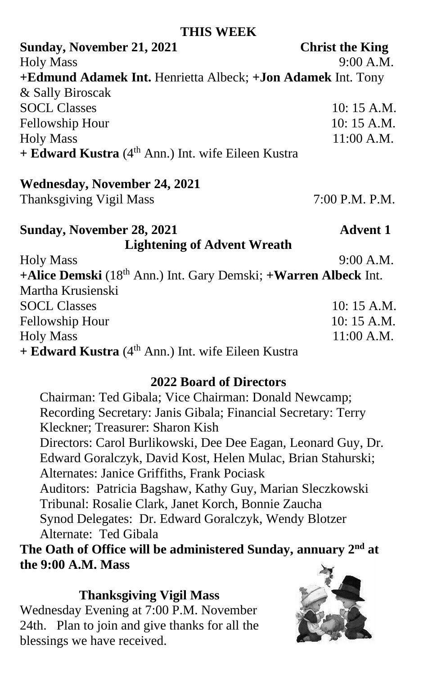#### **THIS WEEK**

**Sunday, November 21, 2021 Christ the King** Holy Mass 9:00 A.M. **+Edmund Adamek Int.** Henrietta Albeck; **+Jon Adamek** Int. Tony & Sally Biroscak SOCL Classes 10: 15 A.M. Fellowship Hour 10: 15 A.M. Holy Mass 11:00 A.M. **+ Edward Kustra** (4th Ann.) Int. wife Eileen Kustra

### **Wednesday, November 24, 2021**

Thanksgiving Vigil Mass 7:00 P.M. P.M.

#### **Sunday, November 28, 2021 Advent 1 Lightening of Advent Wreath** Holy Mass 9:00 A.M.

**+Alice Demski** (18th Ann.) Int. Gary Demski; **+Warren Albeck** Int. Martha Krusienski SOCL Classes 10: 15 A.M. Fellowship Hour 10: 15 A.M. Holy Mass 11:00 A.M. **+ Edward Kustra** (4th Ann.) Int. wife Eileen Kustra

# **2022 Board of Directors**

Chairman: Ted Gibala; Vice Chairman: Donald Newcamp; Recording Secretary: Janis Gibala; Financial Secretary: Terry Kleckner; Treasurer: Sharon Kish Directors: Carol Burlikowski, Dee Dee Eagan, Leonard Guy, Dr. Edward Goralczyk, David Kost, Helen Mulac, Brian Stahurski; Alternates: Janice Griffiths, Frank Pociask Auditors: Patricia Bagshaw, Kathy Guy, Marian Sleczkowski Tribunal: Rosalie Clark, Janet Korch, Bonnie Zaucha

Synod Delegates: Dr. Edward Goralczyk, Wendy Blotzer Alternate: Ted Gibala

 **The Oath of Office will be administered Sunday, annuary 2 nd at the 9:00 A.M. Mass**

#### **Thanksgiving Vigil Mass**

Wednesday Evening at 7:00 P.M. November 24th. Plan to join and give thanks for all the blessings we have received.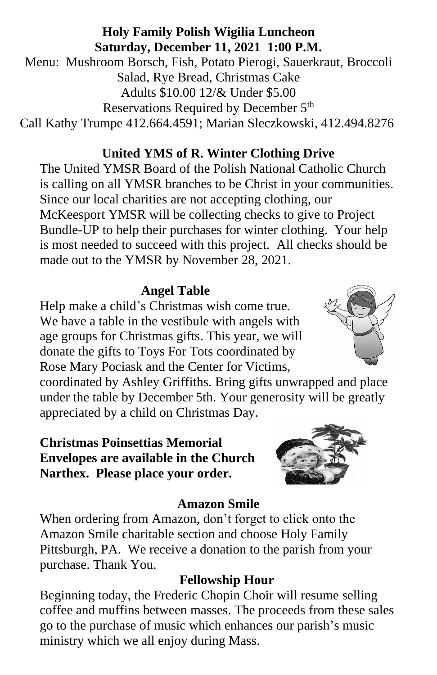# **Holy Family Polish Wigilia Luncheon Saturday, December 11, 2021 1:00 P.M.**

Menu: Mushroom Borsch, Fish, Potato Pierogi, Sauerkraut, Broccoli Salad, Rye Bread, Christmas Cake Adults \$10.00 12/& Under \$5.00 Reservations Required by December 5<sup>th</sup> Call Kathy Trumpe 412.664.4591; Marian Sleczkowski, 412.494.8276

# **United YMS of R. Winter Clothing Drive**

The United YMSR Board of the Polish National Catholic Church is calling on all YMSR branches to be Christ in your communities. Since our local charities are not accepting clothing, our McKeesport YMSR will be collecting checks to give to Project Bundle-UP to help their purchases for winter clothing. Your help is most needed to succeed with this project. All checks should be made out to the YMSR by November 28, 2021.

# **Angel Table**

Help make a child's Christmas wish come true. We have a table in the vestibule with angels with age groups for Christmas gifts. This year, we will donate the gifts to Toys For Tots coordinated by Rose Mary Pociask and the Center for Victims,

coordinated by Ashley Griffiths. Bring gifts unwrapped and place under the table by December 5th. Your generosity will be greatly appreciated by a child on Christmas Day.

### **Christmas Poinsettias Memorial Envelopes are available in the Church Narthex. Please place your order.**

# **Amazon Smile**

When ordering from Amazon, don't forget to click onto the Amazon Smile charitable section and choose Holy Family Pittsburgh, PA. We receive a donation to the parish from your purchase. Thank You.

# **Fellowship Hour**

Beginning today, the Frederic Chopin Choir will resume selling coffee and muffins between masses. The proceeds from these sales go to the purchase of music which enhances our parish's music ministry which we all enjoy during Mass.